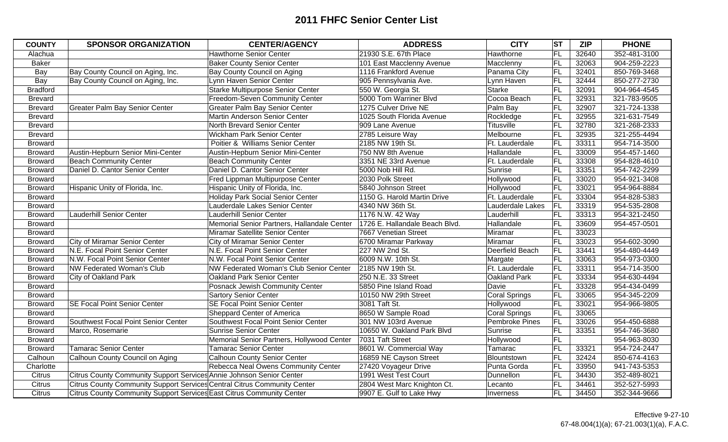| <b>COUNTY</b>   | <b>SPONSOR ORGANIZATION</b>                                              | <b>CENTER/AGENCY</b>                        | <b>ADDRESS</b>                 | <b>CITY</b>         | <b>ST</b> | <b>ZIP</b> | <b>PHONE</b> |
|-----------------|--------------------------------------------------------------------------|---------------------------------------------|--------------------------------|---------------------|-----------|------------|--------------|
| Alachua         |                                                                          | <b>Hawthorne Senior Center</b>              | 21930 S.E. 67th Place          | Hawthorne           | FL        | 32640      | 352-481-3100 |
| <b>Baker</b>    |                                                                          | <b>Baker County Senior Center</b>           | 101 East Macclenny Avenue      | Macclenny           | FL        | 32063      | 904-259-2223 |
| Bay             | Bay County Council on Aging, Inc.                                        | Bay County Council on Aging                 | 1116 Frankford Avenue          | Panama City         | FL        | 32401      | 850-769-3468 |
| Bay             | Bay County Council on Aging, Inc.                                        | Lynn Haven Senior Center                    | 905 Pennsylvania Ave.          | Lynn Haven          | FL        | 32444      | 850-277-2730 |
| <b>Bradford</b> |                                                                          | <b>Starke Multipurpose Senior Center</b>    | 550 W. Georgia St.             | Starke              | FL        | 32091      | 904-964-4545 |
| <b>Brevard</b>  |                                                                          | Freedom-Seven Community Center              | 5000 Tom Warriner Blvd         | Cocoa Beach         | <b>FL</b> | 32931      | 321-783-9505 |
| <b>Brevard</b>  | <b>Greater Palm Bay Senior Center</b>                                    | Greater Palm Bay Senior Center              | 1275 Culver Drive NE           | Palm Bay            | FL        | 32907      | 321-724-1338 |
| <b>Brevard</b>  |                                                                          | Martin Anderson Senior Center               | 1025 South Florida Avenue      | Rockledge           | FL        | 32955      | 321-631-7549 |
| <b>Brevard</b>  |                                                                          | North Brevard Senior Center                 | 909 Lane Avenue                | Titusville          | <b>FL</b> | 32780      | 321-268-2333 |
| <b>Brevard</b>  |                                                                          | <b>Wickham Park Senior Center</b>           | 2785 Leisure Way               | Melbourne           | FL        | 32935      | 321-255-4494 |
| <b>Broward</b>  |                                                                          | Poitier & Williams Senior Center            | 2185 NW 19th St.               | Ft. Lauderdale      | FL        | 33311      | 954-714-3500 |
| <b>Broward</b>  | Austin-Hepburn Senior Mini-Center                                        | Austin-Hepburn Senior Mini-Center           | 750 NW 8th Avenue              | Hallandale          | <b>FL</b> | 33009      | 954-457-1460 |
| <b>Broward</b>  | <b>Beach Community Center</b>                                            | <b>Beach Community Center</b>               | 3351 NE 33rd Avenue            | Ft. Lauderdale      | FL        | 33308      | 954-828-4610 |
| <b>Broward</b>  | Daniel D. Cantor Senior Center                                           | Daniel D. Cantor Senior Center              | 5000 Nob Hill Rd.              | Sunrise             | FL        | 33351      | 954-742-2299 |
| <b>Broward</b>  |                                                                          | Fred Lippman Multipurpose Center            | 2030 Polk Street               | Hollywood           | FL        | 33020      | 954-921-3408 |
| <b>Broward</b>  | Hispanic Unity of Florida, Inc.                                          | Hispanic Unity of Florida, Inc.             | 5840 Johnson Street            | Hollywood           | FL        | 33021      | 954-964-8884 |
| <b>Broward</b>  |                                                                          | <b>Holiday Park Social Senior Center</b>    | 1150 G. Harold Martin Drive    | Ft. Lauderdale      | FL        | 33304      | 954-828-5383 |
| <b>Broward</b>  |                                                                          | Lauderdale Lakes Senior Center              | 4340 NW 36th St.               | Lauderdale Lakes    | FL        | 33319      | 954-535-2808 |
| <b>Broward</b>  | <b>Lauderhill Senior Center</b>                                          | <b>Lauderhill Senior Center</b>             | 1176 N.W. 42 Way               | Lauderhill          | FL        | 33313      | 954-321-2450 |
| <b>Broward</b>  |                                                                          | Memorial Senior Partners, Hallandale Center | 1726 E. Hallandale Beach Blvd. | Hallandale          | FL        | 33609      | 954-457-0501 |
| <b>Broward</b>  |                                                                          | Miramar Satellite Senior Center             | 7667 Venetian Street           | Miramar             | FL        | 33023      |              |
| <b>Broward</b>  | City of Miramar Senior Center                                            | City of Miramar Senior Center               | 6700 Miramar Parkway           | Miramar             | FL        | 33023      | 954-602-3090 |
| <b>Broward</b>  | N.E. Focal Point Senior Center                                           | N.E. Focal Point Senior Center              | 227 NW 2nd St.                 | Deerfield Beach     | FL        | 33441      | 954-480-4449 |
| <b>Broward</b>  | N.W. Focal Point Senior Center                                           | N.W. Focal Point Senior Center              | 6009 N.W. 10th St.             | Margate             | FL        | 33063      | 954-973-0300 |
| <b>Broward</b>  | NW Federated Woman's Club                                                | NW Federated Woman's Club Senior Center     | 2185 NW 19th St.               | Ft. Lauderdale      | FL        | 33311      | 954-714-3500 |
| <b>Broward</b>  | City of Oakland Park                                                     | <b>Oakland Park Senior Center</b>           | 250 N.E. 33 Street             | <b>Oakland Park</b> | FL        | 33334      | 954-630-4494 |
| <b>Broward</b>  |                                                                          | Posnack Jewish Community Center             | 5850 Pine Island Road          | Davie               | FL        | 33328      | 954-434-0499 |
| <b>Broward</b>  |                                                                          | <b>Sartory Senior Center</b>                | 10150 NW 29th Street           | Coral Springs       | FL        | 33065      | 954-345-2209 |
| <b>Broward</b>  | <b>SE Focal Point Senior Center</b>                                      | <b>SE Focal Point Senior Center</b>         | 3081 Taft St.                  | Hollywood           | FL        | 33021      | 954-966-9805 |
| <b>Broward</b>  |                                                                          | Sheppard Center of America                  | 8650 W Sample Road             | Coral Springs       | FL        | 33065      |              |
| <b>Broward</b>  | Southwest Focal Point Senior Center                                      | Southwest Focal Point Senior Center         | 301 NW 103rd Avenue            | Pembroke Pines      | <b>FL</b> | 33026      | 954-450-6888 |
| <b>Broward</b>  | Marco, Rosemarie                                                         | <b>Sunrise Senior Center</b>                | 10650 W. Oakland Park Blvd     | Sunrise             | FL        | 33351      | 954-746-3680 |
| <b>Broward</b>  |                                                                          | Memorial Senior Partners, Hollywood Center  | 7031 Taft Street               | Hollywood           | FL        |            | 954-963-8030 |
| <b>Broward</b>  | <b>Tamarac Senior Center</b>                                             | <b>Tamarac Senior Center</b>                | 8601 W. Commercial Way         | Tamarac             | FL        | 33321      | 954-724-2447 |
| Calhoun         | Calhoun County Council on Aging                                          | <b>Calhoun County Senior Center</b>         | 16859 NE Cayson Street         | Blountstown         | FL        | 32424      | 850-674-4163 |
| Charlotte       |                                                                          | Rebecca Neal Owens Community Center         | 27420 Voyageur Drive           | Punta Gorda         | <b>FL</b> | 33950      | 941-743-5353 |
| Citrus          | Citrus County Community Support Services Annie Johnson Senior Center     |                                             | 1991 West Test Court           | Dunnellon           | FL        | 34430      | 352-489-8021 |
| <b>Citrus</b>   | Citrus County Community Support Services Central Citrus Community Center |                                             | 2804 West Marc Knighton Ct.    | Lecanto             | FL        | 34461      | 352-527-5993 |
| <b>Citrus</b>   | Citrus County Community Support Services East Citrus Community Center    |                                             | 9907 E. Gulf to Lake Hwy       | Inverness           | <b>FL</b> | 34450      | 352-344-9666 |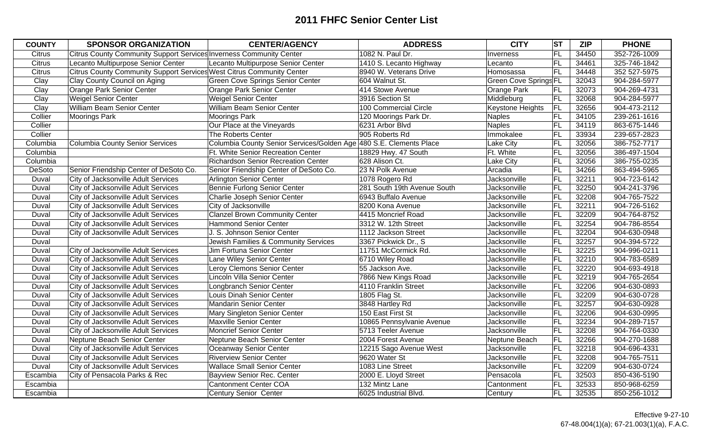| <b>COUNTY</b> | <b>SPONSOR ORGANIZATION</b>                                           | <b>CENTER/AGENCY</b>                                               | <b>ADDRESS</b>              | <b>CITY</b>                  | <b>ST</b> | <b>ZIP</b> | <b>PHONE</b> |
|---------------|-----------------------------------------------------------------------|--------------------------------------------------------------------|-----------------------------|------------------------------|-----------|------------|--------------|
| <b>Citrus</b> | Citrus County Community Support Services Inverness Community Center   |                                                                    | 1082 N. Paul Dr.            | Inverness                    | FL        | 34450      | 352-726-1009 |
| <b>Citrus</b> | Lecanto Multipurpose Senior Center                                    | Lecanto Multipurpose Senior Center                                 | 1410 S. Lecanto Highway     | Lecanto                      | FL        | 34461      | 325-746-1842 |
| <b>Citrus</b> | Citrus County Community Support Services West Citrus Community Center |                                                                    | 8940 W. Veterans Drive      | Homosassa                    | FL        | 34448      | 352 527-5975 |
| Clay          | Clay County Council on Aging                                          | <b>Green Cove Springs Senior Center</b>                            | 604 Walnut St.              | <b>Green Cove Springs FL</b> |           | 32043      | 904-284-5977 |
| Clay          | <b>Orange Park Senior Center</b>                                      | <b>Orange Park Senior Center</b>                                   | 414 Stowe Avenue            | <b>Orange Park</b>           | FL        | 32073      | 904-269-4731 |
| Clay          | <b>Weigel Senior Center</b>                                           | <b>Weigel Senior Center</b>                                        | 3916 Section St             | Middleburg                   | FL        | 32068      | 904-284-5977 |
| Clay          | William Beam Senior Center                                            | William Beam Senior Center                                         | 100 Commercial Circle       | <b>Keystone Heights</b>      | <b>FL</b> | 32656      | 904-473-2112 |
| Collier       | <b>Moorings Park</b>                                                  | <b>Moorings Park</b>                                               | 120 Moorings Park Dr.       | Naples                       | <b>FL</b> | 34105      | 239-261-1616 |
| Collier       |                                                                       | Our Place at the Vineyards                                         | 6231 Arbor Blvd             | Naples                       | FL        | 34119      | 863-675-1446 |
| Collier       |                                                                       | The Roberts Center                                                 | 905 Roberts Rd              | Immokalee                    | FL        | 33934      | 239-657-2823 |
| Columbia      | <b>Columbia County Senior Services</b>                                | Columbia County Senior Services/Golden Age 480 S.E. Clements Place |                             | Lake City                    | FL        | 32056      | 386-752-7717 |
| Columbia      |                                                                       | <b>Ft. White Senior Recreation Center</b>                          | 18829 Hwy. 47 South         | Ft. White                    | FL        | 32056      | 386-497-1504 |
| Columbia      |                                                                       | <b>Richardson Senior Recreation Center</b>                         | 628 Alison Ct.              | <b>Lake City</b>             | <b>FL</b> | 32056      | 386-755-0235 |
| DeSoto        | Senior Friendship Center of DeSoto Co.                                | Senior Friendship Center of DeSoto Co.                             | 23 N Polk Avenue            | Arcadia                      | FL        | 34266      | 863-494-5965 |
| Duval         | City of Jacksonville Adult Services                                   | <b>Arlington Senior Center</b>                                     | 1078 Rogero Rd              | Jacksonville                 | <b>FL</b> | 32211      | 904-723-6142 |
| Duval         | City of Jacksonville Adult Services                                   | <b>Bennie Furlong Senior Center</b>                                | 281 South 19th Avenue South | Jacksonville                 | <b>FL</b> | 32250      | 904-241-3796 |
| Duval         | City of Jacksonville Adult Services                                   | Charlie Joseph Senior Center                                       | 6943 Buffalo Avenue         | Jacksonville                 | FL        | 32208      | 904-765-7522 |
| Duval         | City of Jacksonville Adult Services                                   | City of Jacksonville                                               | 8200 Kona Avenue            | Jacksonville                 | <b>FL</b> | 32211      | 904-726-5162 |
| Duval         | City of Jacksonville Adult Services                                   | <b>Clanzel Brown Community Center</b>                              | 4415 Moncrief Road          | Jacksonville                 | FL        | 32209      | 904-764-8752 |
| Duval         | City of Jacksonville Adult Services                                   | <b>Hammond Senior Center</b>                                       | 3312 W. 12th Street         | Jacksonville                 | FL        | 32254      | 904-786-8554 |
| Duval         | City of Jacksonville Adult Services                                   | J. S. Johnson Senior Center                                        | 1112 Jackson Street         | Jacksonville                 | FL        | 32204      | 904-630-0948 |
| Duval         |                                                                       | Jewish Families & Community Services                               | 3367 Pickwick Dr., S        | Jacksonville                 | FL        | 32257      | 904-394-5722 |
| Duval         | City of Jacksonville Adult Services                                   | Jim Fortuna Senior Center                                          | 11751 McCormick Rd.         | Jacksonville                 | FL        | 32225      | 904-996-0211 |
| Duval         | <b>City of Jacksonville Adult Services</b>                            | Lane Wiley Senior Center                                           | 6710 Wiley Road             | Jacksonville                 | FL        | 32210      | 904-783-6589 |
| Duval         | <b>City of Jacksonville Adult Services</b>                            | Leroy Clemons Senior Center                                        | 55 Jackson Ave.             | Jacksonville                 | FL        | 32220      | 904-693-4918 |
| Duval         | City of Jacksonville Adult Services                                   | Lincoln Villa Senior Center                                        | 7866 New Kings Road         | Jacksonville                 | FL        | 32219      | 904-765-2654 |
| Duval         | City of Jacksonville Adult Services                                   | Longbranch Senior Center                                           | 4110 Franklin Street        | Jacksonville                 | FL        | 32206      | 904-630-0893 |
| Duval         | City of Jacksonville Adult Services                                   | Louis Dinah Senior Center                                          | 1805 Flag St.               | Jacksonville                 | FL        | 32209      | 904-630-0728 |
| Duval         | City of Jacksonville Adult Services                                   | <b>Mandarin Senior Center</b>                                      | 3848 Hartley Rd             | Jacksonville                 | FL        | 32257      | 904-630-0928 |
| Duval         | City of Jacksonville Adult Services                                   | Mary Singleton Senior Center                                       | 150 East First St           | Jacksonville                 | FL        | 32206      | 904-630-0995 |
| Duval         | City of Jacksonville Adult Services                                   | <b>Maxville Senior Center</b>                                      | 10865 Pennsylvanie Avenue   | Jacksonville                 | <b>FL</b> | 32234      | 904-289-7157 |
| Duval         | City of Jacksonville Adult Services                                   | <b>Moncrief Senior Center</b>                                      | 5713 Teeler Avenue          | Jacksonville                 | FL        | 32208      | 904-764-0330 |
| Duval         | Neptune Beach Senior Center                                           | Neptune Beach Senior Center                                        | 2004 Forest Avenue          | Neptune Beach                | FL        | 32266      | 904-270-1688 |
| Duval         | City of Jacksonville Adult Services                                   | Oceanway Senior Center                                             | 12215 Sago Avenue West      | Jacksonville                 | <b>FL</b> | 32218      | 904-696-4331 |
| Duval         | City of Jacksonville Adult Services                                   | <b>Riverview Senior Center</b>                                     | 9620 Water St               | Jacksonville                 | FL        | 32208      | 904-765-7511 |
| Duval         | City of Jacksonville Adult Services                                   | <b>Wallace Small Senior Center</b>                                 | 1083 Line Street            | Jacksonville                 | FL        | 32209      | 904-630-0724 |
| Escambia      | City of Pensacola Parks & Rec                                         | <b>Bayview Senior Rec. Center</b>                                  | 2000 E. Lloyd Street        | Pensacola                    | FL        | 32503      | 850-436-5190 |
| Escambia      |                                                                       | <b>Cantonment Center COA</b>                                       | 132 Mintz Lane              | Cantonment                   | FL        | 32533      | 850-968-6259 |
| Escambia      |                                                                       | <b>Century Senior Center</b>                                       | 6025 Industrial Blvd.       | Century                      | FL        | 32535      | 850-256-1012 |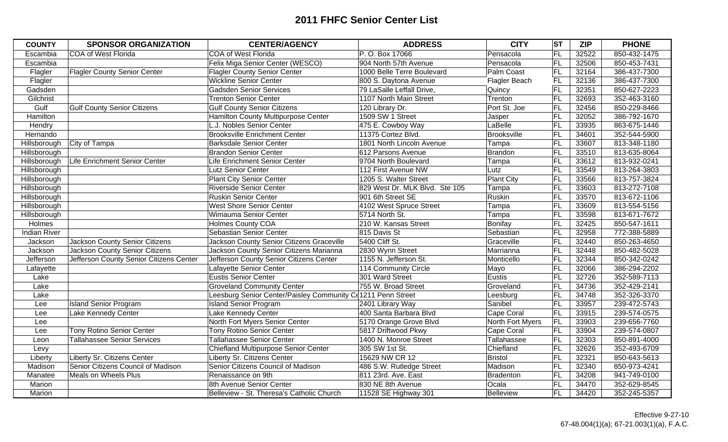| <b>COUNTY</b>       | <b>SPONSOR ORGANIZATION</b>             | <b>CENTER/AGENCY</b>                                        | <b>ADDRESS</b>                 | <b>CITY</b>       | $ \overline{\text{ST}} $ | <b>ZIP</b> | <b>PHONE</b> |
|---------------------|-----------------------------------------|-------------------------------------------------------------|--------------------------------|-------------------|--------------------------|------------|--------------|
| Escambia            | <b>COA of West Florida</b>              | <b>COA of West Florida</b>                                  | P. O. Box 17066                | Pensacola         | FL                       | 32522      | 850-432-1475 |
| Escambia            |                                         | Felix Miga Senior Center (WESCO)                            | 904 North 57th Avenue          | Pensacola         | <b>FL</b>                | 32506      | 850-453-7431 |
| Flagler             | <b>Flagler County Senior Center</b>     | <b>Flagler County Senior Center</b>                         | 1000 Belle Terre Boulevard     | Palm Coast        | FL                       | 32164      | 386-437-7300 |
| Flagler             |                                         | <b>Wickline Senior Center</b>                               | 800 S. Daytona Avenue          | Flagler Beach     | FL                       | 32136      | 386-437-7300 |
| Gadsden             |                                         | <b>Gadsden Senior Services</b>                              | 79 LaSalle Leffall Drive,      | Quincy            | FL                       | 32351      | 850-627-2223 |
| Gilchrist           |                                         | <b>Trenton Senior Center</b>                                | 1107 North Main Street         | Trenton           | FL                       | 32693      | 352-463-3160 |
| Gulf                | <b>Gulf County Senior Citizens</b>      | <b>Gulf County Senior Citizens</b>                          | 120 Library Dr.                | Port St. Joe      | FL                       | 32456      | 850-229-8466 |
| Hamilton            |                                         | Hamilton County Multipurpose Center                         | 1509 SW 1 Street               | Jasper            | FL                       | 32052      | 386-792-1670 |
| Hendry              |                                         | L.J. Nobles Senior Center                                   | 475 E. Cowboy Way              | LaBelle           | FL                       | 33935      | 863-675-1446 |
| Hernando            |                                         | <b>Brooksville Enrichment Center</b>                        | 11375 Cortez Blvd.             | Brooksville       | FL                       | 34601      | 352-544-5900 |
| Hillsborough        | City of Tampa                           | <b>Barksdale Senior Center</b>                              | 1801 North Lincoln Avenue      | Tampa             | F                        | 33607      | 813-348-1180 |
| Hillsborough        |                                         | <b>Brandon Senior Center</b>                                | 612 Parsons Avenue             | Brandon           | FL                       | 33510      | 813-635-8064 |
| Hillsborough        | Life Enrichment Senior Center           | Life Enrichment Senior Center                               | 9704 North Boulevard           | Tampa             | FL                       | 33612      | 813-932-0241 |
| Hillsborough        |                                         | <b>Lutz Senior Center</b>                                   | 112 First Avenue NW            | Lutz              | FL                       | 33549      | 813-264-3803 |
| Hillsborough        |                                         | <b>Plant City Senior Center</b>                             | 1205 S. Walter Street          | <b>Plant City</b> | F                        | 33566      | 813-757-3824 |
| Hillsborough        |                                         | <b>Riverside Senior Center</b>                              | 829 West Dr. MLK Blvd. Ste 105 | Tampa             | FL                       | 33603      | 813-272-7108 |
| Hillsborough        |                                         | <b>Ruskin Senior Center</b>                                 | 901 6th Street SE              | Ruskin            | FL                       | 33570      | 813-672-1106 |
| Hillsborough        |                                         | <b>West Shore Senior Center</b>                             | 4102 West Spruce Street        | Tampa             | FL                       | 33609      | 813-554-5156 |
| Hillsborough        |                                         | Wimauma Senior Center                                       | 5714 North St.                 | Tampa             | FL                       | 33598      | 813-671-7672 |
| <b>Holmes</b>       |                                         | <b>Holmes County COA</b>                                    | 210 W. Kansas Street           | Bonifay           | FL                       | 32425      | 850-547-1611 |
| <b>Indian River</b> |                                         | Sebastian Senior Center                                     | 815 Davis St                   | Sebastian         | FL                       | 32958      | 772-388-5889 |
| Jackson             | <b>Jackson County Senior Citizens</b>   | Jackson County Senior Citizens Graceville                   | 5400 Cliff St.                 | Graceville        | FL                       | 32440      | 850-263-4650 |
| Jackson             | <b>Jackson County Senior Citizens</b>   | Jackson County Senior Citizens Marianna                     | 2830 Wynn Street               | Marrianna         | FL                       | 32448      | 850-482-5028 |
| Jefferson           | Jefferson County Senior Citizens Center | Jefferson County Senior Citizens Center                     | 1155 N. Jefferson St.          | Monticello        | FL                       | 32344      | 850-342-0242 |
| Lafayette           |                                         | Lafayette Senior Center                                     | 114 Community Circle           | Mayo              | FL                       | 32066      | 386-294-2202 |
| Lake                |                                         | <b>Eustis Senior Center</b>                                 | 301 Ward Street                | Eustis            | FL                       | 32726      | 352-589-7113 |
| Lake                |                                         | <b>Groveland Community Center</b>                           | 755 W. Broad Street            | Groveland         | FL                       | 34736      | 352-429-2141 |
| Lake                |                                         | Leesburg Senior Center/Paisley Community C(1211 Penn Street |                                | Leesburg          | FL                       | 34748      | 352-326-3370 |
| Lee                 | <b>Island Senior Program</b>            | <b>Island Senior Program</b>                                | 2401 Library Way               | Sanibel           | FL                       | 33957      | 239-472-5743 |
| Lee                 | Lake Kennedy Center                     | Lake Kennedy Center                                         | 400 Santa Barbara Blvd         | Cape Coral        | FL                       | 33915      | 239-574-0575 |
| Lee                 |                                         | North Fort Myers Senior Center                              | 5170 Orange Grove Blvd         | North Fort Myers  | FL                       | 33903      | 239-656-7760 |
| Lee                 | <b>Tony Rotino Senior Center</b>        | <b>Tony Rotino Senior Center</b>                            | 5817 Driftwood Pkwy            | Cape Coral        | FL                       | 33904      | 239-574-0807 |
| Leon                | <b>Tallahassee Senior Services</b>      | <b>Tallahassee Senior Center</b>                            | 1400 N. Monroe Street          | Tallahassee       | FL                       | 32303      | 850-891-4000 |
| Levy                |                                         | <b>Chiefland Multipurpose Senior Center</b>                 | 305 SW 1st St.                 | Chiefland         | FL                       | 32626      | 352-493-6709 |
| Liberty             | Liberty Sr. Citizens Center             | Liberty Sr. Citizens Center                                 | 15629 NW CR 12                 | Bristol           | FL                       | 32321      | 850-643-5613 |
| Madison             | Senior Citizens Council of Madison      | Senior Citizens Council of Madison                          | 486 S.W. Rutledge Street       | Madison           | FL                       | 32340      | 850-973-4241 |
| Manatee             | Meals on Wheels Plus                    | Renaissance on 9th                                          | 811 23rd. Ave. East            | Bradenton         | FL                       | 34208      | 941-749-0100 |
| Marion              |                                         | 8th Avenue Senior Center                                    | 830 NE 8th Avenue              | Ocala             | F                        | 34470      | 352-629-8545 |
| Marion              |                                         | Belleview - St. Theresa's Catholic Church                   | 11528 SE Highway 301           | Belleview         | FL                       | 34420      | 352-245-5357 |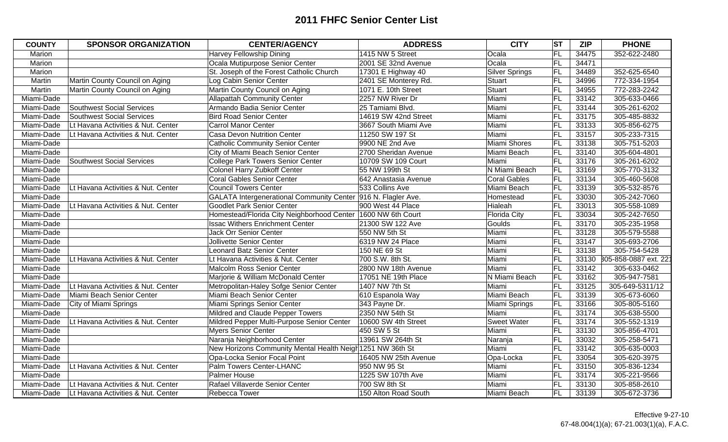| <b>COUNTY</b> | <b>SPONSOR ORGANIZATION</b>        | <b>CENTER/AGENCY</b>                                          | <b>ADDRESS</b>       | <b>CITY</b>         | <b>ST</b>  | <b>ZIP</b> | <b>PHONE</b>               |
|---------------|------------------------------------|---------------------------------------------------------------|----------------------|---------------------|------------|------------|----------------------------|
| Marion        |                                    | Harvey Fellowship Dining                                      | 1415 NW 5 Street     | Ocala               | FL         | 34475      | 352-622-2480               |
| Marion        |                                    | Ocala Mutipurpose Senior Center                               | 2001 SE 32nd Avenue  | Ocala               | FL         | 34471      |                            |
| Marion        |                                    | St. Joseph of the Forest Catholic Church                      | 17301 E Highway 40   | Silver Springs      | FL         | 34489      | 352-625-6540               |
| Martin        | Martin County Council on Aging     | Log Cabin Senior Center                                       | 2401 SE Monterey Rd. | Stuart              | FL         | 34996      | 772-334-1954               |
| Martin        | Martin County Council on Aging     | Martin County Council on Aging                                | 1071 E. 10th Street  | Stuart              | FL         | 34955      | 772-283-2242               |
| Miami-Dade    |                                    | <b>Allapattah Community Center</b>                            | 2257 NW River Dr     | Miami               | FL         | 33142      | 305-633-0466               |
| Miami-Dade    | <b>Southwest Social Services</b>   | Armando Badia Senior Center                                   | 25 Tamiami Blvd.     | Miami               | <b>FL</b>  | 33144      | 305-261-6202               |
| Miami-Dade    | <b>Southwest Social Services</b>   | <b>Bird Road Senior Center</b>                                | 14619 SW 42nd Street | Miami               | <b>FL</b>  | 33175      | 305-485-8832               |
| Miami-Dade    | Lt Havana Activities & Nut. Center | <b>Carrol Manor Center</b>                                    | 3667 South Miami Ave | Miami               | FL         | 33133      | 305-856-6275               |
| Miami-Dade    | Lt Havana Activities & Nut. Center | <b>Casa Devon Nutrition Center</b>                            | 11250 SW 197 St      | Miami               | <b>FL</b>  | 33157      | 305-233-7315               |
| Miami-Dade    |                                    | <b>Catholic Community Senior Center</b>                       | 9900 NE 2nd Ave      | Miami Shores        | <b>FL</b>  | 33138      | 305-751-5203               |
| Miami-Dade    |                                    | City of Miami Beach Senior Center                             | 2700 Sheridan Avenue | Miami Beach         | FL         | 33140      | 305-604-4801               |
| Miami-Dade    | <b>Southwest Social Services</b>   | <b>College Park Towers Senior Center</b>                      | 10709 SW 109 Court   | Miami               | <b>FL</b>  | 33176      | 305-261-6202               |
| Miami-Dade    |                                    | Colonel Harry Zubkoff Center                                  | 55 NW 199th St       | N Miami Beach       | <b>FL</b>  | 33169      | 305-770-3132               |
| Miami-Dade    |                                    | <b>Coral Gables Senior Center</b>                             | 642 Anastasia Avenue | <b>Coral Gables</b> | <b>IFL</b> | 33134      | 305-460-5608               |
| Miami-Dade    | Lt Havana Activities & Nut. Center | <b>Council Towers Center</b>                                  | 533 Collins Ave      | Miami Beach         | FL         | 33139      | 305-532-8576               |
| Miami-Dade    |                                    | GALATA Intergenerational Community Center 916 N. Flagler Ave. |                      | Homestead           | FL         | 33030      | 305-242-7060               |
| Miami-Dade    | Lt Havana Activities & Nut. Center | <b>Goodlet Park Senior Center</b>                             | 900 West 44 Place    | Hialeah             | FL         | 33013      | 305-558-1089               |
| Miami-Dade    |                                    | Homestead/Florida City Neighborhood Center 1600 NW 6th Court  |                      | Florida City        | FL         | 33034      | 305-242-7650               |
| Miami-Dade    |                                    | <b>Issac Withers Enrichment Center</b>                        | 21300 SW 122 Ave     | Goulds              | FL         | 33170      | 305-235-1958               |
| Miami-Dade    |                                    | <b>Jack Orr Senior Center</b>                                 | 550 NW 5th St        | Miami               | FL         | 33128      | 305-579-5588               |
| Miami-Dade    |                                    | <b>Jollivette Senior Center</b>                               | 6319 NW 24 Place     | Miami               | FL         | 33147      | 305-693-2706               |
| Miami-Dade    |                                    | <b>Leonard Batz Senior Center</b>                             | 150 NE 69 St         | Miami               | FL         | 33138      | 305-754-5428               |
| Miami-Dade    | Lt Havana Activities & Nut. Center | Lt Havana Activities & Nut. Center                            | 700 S.W. 8th St.     | Miami               | FL         |            | 33130 305-858-0887 ext. 22 |
| Miami-Dade    |                                    | Malcolm Ross Senior Center                                    | 2800 NW 18th Avenue  | Miami               | FL         | 33142      | 305-633-0462               |
| Miami-Dade    |                                    | Marjorie & William McDonald Center                            | 17051 NE 19th Place  | N Miami Beach       | FL         | 33162      | 305-947-7581               |
| Miami-Dade    | Lt Havana Activities & Nut. Center | Metropolitan-Haley Sofge Senior Center                        | 1407 NW 7th St       | Miami               | FL         | 33125      | 305-649-5311/12            |
| Miami-Dade    | Miami Beach Senior Center          | Miami Beach Senior Center                                     | 610 Espanola Way     | Miami Beach         | FL         | 33139      | 305-673-6060               |
| Miami-Dade    | City of Miami Springs              | Miami Springs Senior Center                                   | 343 Payne Dr.        | Miami Springs       | FL         | 33166      | 305-805-5160               |
| Miami-Dade    |                                    | Mildred and Claude Pepper Towers                              | 2350 NW 54th St      | Miami               | FL         | 33174      | 305-638-5500               |
| Miami-Dade    | Lt Havana Activities & Nut. Center | Mildred Pepper Multi-Purpose Senior Center                    | 10600 SW 4th Street  | <b>Sweet Water</b>  | FL         | 33174      | 305-552-1319               |
| Miami-Dade    |                                    | <b>Myers Senior Center</b>                                    | 450 SW 5 St          | Miami               | <b>FL</b>  | 33130      | 305-856-4701               |
| Miami-Dade    |                                    | Naranja Neighborhood Center                                   | 13961 SW 264th St    | Naranja             | FL         | 33032      | 305-258-5471               |
| Miami-Dade    |                                    | New Horizons Community Mental Health Neigh 1251 NW 36th St    |                      | Miami               | <b>FL</b>  | 33142      | 305-635-0003               |
| Miami-Dade    |                                    | Opa-Locka Senior Focal Point                                  | 16405 NW 25th Avenue | Opa-Locka           | <b>FL</b>  | 33054      | 305-620-3975               |
| Miami-Dade    | Lt Havana Activities & Nut. Center | Palm Towers Center-LHANC                                      | 950 NW 95 St         | Miami               | FL         | 33150      | 305-836-1234               |
| Miami-Dade    |                                    | Palmer House                                                  | 1225 SW 107th Ave    | Miami               | FL         | 33174      | 305-221-9566               |
| Miami-Dade    | Lt Havana Activities & Nut. Center | Rafael Villaverde Senior Center                               | 700 SW 8th St        | Miami               | FL         | 33130      | 305-858-2610               |
| Miami-Dade    | Lt Havana Activities & Nut. Center | Rebecca Tower                                                 | 150 Alton Road South | Miami Beach         | <b>FL</b>  | 33139      | 305-672-3736               |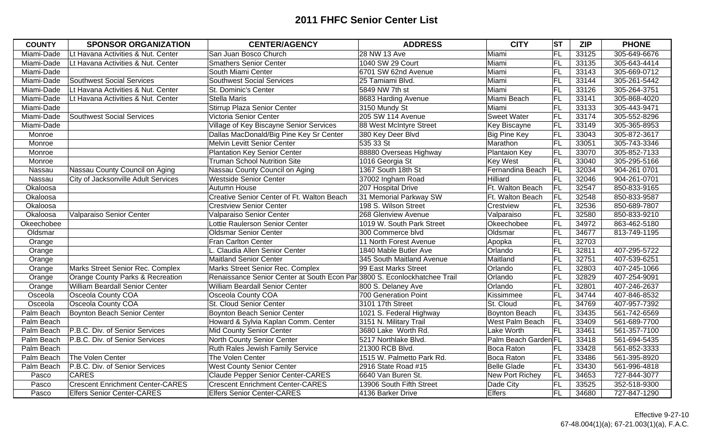| <b>COUNTY</b> | <b>SPONSOR ORGANIZATION</b>             | <b>CENTER/AGENCY</b>                                                      | <b>ADDRESS</b>            | <b>CITY</b>          | ST        | <b>ZIP</b> | <b>PHONE</b> |
|---------------|-----------------------------------------|---------------------------------------------------------------------------|---------------------------|----------------------|-----------|------------|--------------|
| Miami-Dade    | Lt Havana Activities & Nut. Center      | San Juan Bosco Church                                                     | 28 NW 13 Ave              | Miami                | FL        | 33125      | 305-649-6676 |
| Miami-Dade    | Lt Havana Activities & Nut. Center      | <b>Smathers Senior Center</b>                                             | 1040 SW 29 Court          | Miami                | FL        | 33135      | 305-643-4414 |
| Miami-Dade    |                                         | South Miami Center                                                        | 6701 SW 62nd Avenue       | Miami                | FL        | 33143      | 305-669-0712 |
| Miami-Dade    | <b>Southwest Social Services</b>        | <b>Southwest Social Services</b>                                          | 25 Tamiami Blvd.          | Miami                | FL        | 33144      | 305-261-5442 |
| Miami-Dade    | Lt Havana Activities & Nut. Center      | St. Dominic's Center                                                      | 5849 NW 7th st            | Miami                | FL        | 33126      | 305-264-3751 |
| Miami-Dade    | Lt Havana Activities & Nut. Center      | <b>Stella Maris</b>                                                       | 8683 Harding Avenue       | Miami Beach          | FL        | 33141      | 305-868-4020 |
| Miami-Dade    |                                         | Stirrup Plaza Senior Center                                               | 3150 Mundy St             | Miami                | <b>FL</b> | 33133      | 305-443-9471 |
| Miami-Dade    | <b>Southwest Social Services</b>        | Victoria Senior Center                                                    | 205 SW 114 Avenue         | <b>Sweet Water</b>   | <b>FL</b> | 33174      | 305-552-8296 |
| Miami-Dade    |                                         | Village of Key Biscayne Senior Services                                   | 88 West McIntyre Street   | Key Biscayne         | FL        | 33149      | 305-365-8953 |
| Monroe        |                                         | Dallas MacDonald/Big Pine Key Sr Center                                   | 380 Key Deer Blvd         | <b>Big Pine Key</b>  | FL        | 33043      | 305-872-3617 |
| Monroe        |                                         | Melvin Levitt Senior Center                                               | 535 33 St                 | Marathon             | FL        | 33051      | 305-743-3346 |
| Monroe        |                                         | <b>Plantation Key Senior Center</b>                                       | 88880 Overseas Highway    | <b>Plantaion Key</b> | FL        | 33070      | 305-852-7133 |
| Monroe        |                                         | <b>Truman School Nutrition Site</b>                                       | 1016 Georgia St           | <b>Key West</b>      | <b>FL</b> | 33040      | 305-295-5166 |
| Nassau        | Nassau County Council on Aging          | Nassau County Council on Aging                                            | 1367 South 18th St        | Fernandina Beach     | <b>FL</b> | 32034      | 904-261 0701 |
| Nassau        | City of Jacksonville Adult Services     | <b>Westside Senior Center</b>                                             | 37002 Ingham Road         | Hilliard             | <b>FL</b> | 32046      | 904-261-0701 |
| Okaloosa      |                                         | Autumn House                                                              | 207 Hospital Drive        | Ft. Walton Beach     | FL        | 32547      | 850-833-9165 |
| Okaloosa      |                                         | Creative Senior Center of Ft. Walton Beach                                | 31 Memorial Parkway SW    | Ft. Walton Beach     | FL        | 32548      | 850-833-9587 |
| Okaloosa      |                                         | <b>Crestview Senior Center</b>                                            | 198 S. Wilson Street      | Crestview            | <b>FL</b> | 32536      | 850-689-7807 |
| Okaloosa      | Valparaiso Senior Center                | Valparaiso Senior Center                                                  | 268 Glenview Avenue       | Valparaiso           | FL        | 32580      | 850-833-9210 |
| Okeechobee    |                                         | Lottie Raulerson Senior Center                                            | 1019 W. South Park Street | Okeechobee           | <b>FL</b> | 34972      | 863-462-5180 |
| Oldsmar       |                                         | <b>Oldsmar Senior Center</b>                                              | 300 Commerce blvd         | Oldsmar              | FL        | 34677      | 813-749-1195 |
| Orange        |                                         | Fran Carlton Center                                                       | 11 North Forest Avenue    | Apopka               | FL        | 32703      |              |
| Orange        |                                         | Claudia Allen Senior Center                                               | 1840 Mable Butler Ave     | Orlando              | FL        | 32811      | 407-295-5722 |
| Orange        |                                         | <b>Maitland Senior Center</b>                                             | 345 South Maitland Avenue | Maitland             | FL        | 32751      | 407-539-6251 |
| Orange        | Marks Street Senior Rec. Complex        | Marks Street Senior Rec. Complex                                          | 99 East Marks Street      | Orlando              | FL        | 32803      | 407-245-1066 |
| Orange        | Orange County Parks & Recreation        | Renaissance Senior Center at South Econ Par 3800 S. Econlockhatchee Trail |                           | Orlando              | FL        | 32829      | 407-254-9091 |
| Orange        | William Beardall Senior Center          | William Beardall Senior Center                                            | 800 S. Delaney Ave        | Orlando              | <b>FL</b> | 32801      | 407-246-2637 |
| Osceola       | <b>Osceola County COA</b>               | Osceola County COA                                                        | 700 Generation Point      | Kissimmee            | FL        | 34744      | 407-846-8532 |
| Osceola       | <b>Osceola County COA</b>               | St. Cloud Senior Center                                                   | 3101 17th Street          | St. Cloud            | FL        | 34769      | 407-957-7392 |
| Palm Beach    | Boynton Beach Senior Center             | <b>Boynton Beach Senior Center</b>                                        | 1021 S. Federal Highway   | <b>Boynton Beach</b> | FL        | 33435      | 561-742-6569 |
| Palm Beach    |                                         | Howard & Sylvia Kaplan Comm. Center                                       | 3151 N. Military Trail    | West Palm Beach      | <b>FL</b> | 33409      | 561-689-7700 |
| Palm Beach    | P.B.C. Div. of Senior Services          | <b>Mid County Senior Center</b>                                           | 3680 Lake Worth Rd.       | Lake Worth           | <b>FL</b> | 33461      | 561-357-7100 |
| Palm Beach    | P.B.C. Div. of Senior Services          | North County Senior Center                                                | 5217 Northlake Blvd.      | Palm Beach Garden FL |           | 33418      | 561-694-5435 |
| Palm Beach    |                                         | Ruth Rales Jewish Family Service                                          | 21300 RCB Blvd.           | Boca Raton           | <b>FL</b> | 33428      | 561-852-3333 |
| Palm Beach    | The Volen Center                        | The Volen Center                                                          | 1515 W. Palmetto Park Rd. | Boca Raton           | <b>FL</b> | 33486      | 561-395-8920 |
| Palm Beach    | P.B.C. Div. of Senior Services          | <b>West County Senior Center</b>                                          | 2916 State Road #15       | <b>Belle Glade</b>   | FL        | 33430      | 561-996-4818 |
| Pasco         | <b>CARES</b>                            | <b>Claude Pepper Senior Center-CARES</b>                                  | 6640 Van Buren St.        | New Port Richey      | FL        | 34653      | 727-844-3077 |
| Pasco         | <b>Crescent Enrichment Center-CARES</b> | <b>Crescent Enrichment Center-CARES</b>                                   | 13906 South Fifth Street  | Dade City            | FL        | 33525      | 352-518-9300 |
| Pasco         | <b>Elfers Senior Center-CARES</b>       | <b>Elfers Senior Center-CARES</b>                                         | 4136 Barker Drive         | <b>Elfers</b>        | <b>FL</b> | 34680      | 727-847-1290 |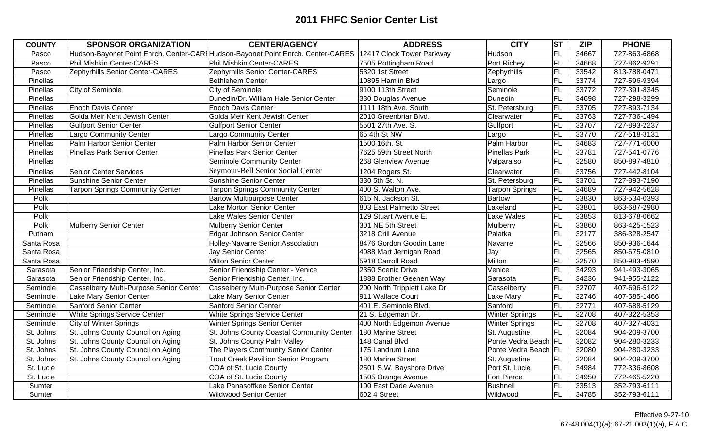| <b>COUNTY</b> | <b>SPONSOR ORGANIZATION</b>             | <b>CENTER/AGENCY</b>                                                                                      | <b>ADDRESS</b>               | <b>CITY</b>            | <b>ST</b> | <b>ZIP</b> | <b>PHONE</b> |
|---------------|-----------------------------------------|-----------------------------------------------------------------------------------------------------------|------------------------------|------------------------|-----------|------------|--------------|
| Pasco         |                                         | Hudson-Bayonet Point Enrch. Center-CARIHudson-Bayonet Point Enrch. Center-CARES 12417 Clock Tower Parkway |                              | Hudson                 | FL        | 34667      | 727-863-6868 |
| Pasco         | <b>Phil Mishkin Center-CARES</b>        | <b>Phil Mishkin Center-CARES</b>                                                                          | 7505 Rottingham Road         | Port Richey            | FL        | 34668      | 727-862-9291 |
| Pasco         | Zephyrhills Senior Center-CARES         | Zephyrhills Senior Center-CARES                                                                           | 5320 1st Street              | Zephyrhills            | FL        | 33542      | 813-788-0471 |
| Pinellas      |                                         | <b>Bethlehem Center</b>                                                                                   | 10895 Hamlin Blvd            | Largo                  | FL        | 33774      | 727-596-9394 |
| Pinellas      | City of Seminole                        | City of Seminole                                                                                          | 9100 113th Street            | Seminole               | F         | 33772      | 727-391-8345 |
| Pinellas      |                                         | Dunedin/Dr. William Hale Senior Center                                                                    | 330 Douglas Avenue           | Dunedin                | FL        | 34698      | 727-298-3299 |
| Pinellas      | <b>Enoch Davis Center</b>               | <b>Enoch Davis Center</b>                                                                                 | 1111 18th Ave. South         | St. Petersburg         | FL        | 33705      | 727-893-7134 |
| Pinellas      | Golda Meir Kent Jewish Center           | Golda Meir Kent Jewish Center                                                                             | 2010 Greenbriar Blvd.        | Clearwater             | FL        | 33763      | 727-736-1494 |
| Pinellas      | <b>Gulfport Senior Center</b>           | <b>Gulfport Senior Center</b>                                                                             | 5501 27th Ave. S.            | Gulfport               | FL        | 33707      | 727-893-2237 |
| Pinellas      | <b>Largo Community Center</b>           | Largo Community Center                                                                                    | 65 4th St NW                 | Largo                  | F         | 33770      | 727-518-3131 |
| Pinellas      | Palm Harbor Senior Center               | Palm Harbor Senior Center                                                                                 | 1500 16th. St.               | Palm Harbor            | FL        | 34683      | 727-771-6000 |
| Pinellas      | <b>Pinellas Park Senior Center</b>      | <b>Pinellas Park Senior Center</b>                                                                        | 7625 59th Street North       | <b>Pinellas Park</b>   | FL        | 33781      | 727-541-0776 |
| Pinellas      |                                         | <b>Seminole Community Center</b>                                                                          | 268 Glenview Avenue          | Valparaiso             | FL        | 32580      | 850-897-4810 |
| Pinellas      | <b>Senior Center Services</b>           | Seymour-Bell Senior Social Center                                                                         | 1204 Rogers St.              | Clearwater             | FL        | 33756      | 727-442-8104 |
| Pinellas      | Sunshine Senior Center                  | <b>Sunshine Senior Center</b>                                                                             | 330 5th St. N.               | St. Petersburg         | FL        | 33701      | 727-893-7190 |
| Pinellas      | <b>Tarpon Springs Community Center</b>  | <b>Tarpon Springs Community Center</b>                                                                    | 400 S. Walton Ave.           | <b>Tarpon Springs</b>  | FL        | 34689      | 727-942-5628 |
| Polk          |                                         | <b>Bartow Multipurpose Center</b>                                                                         | 615 N. Jackson St.           | <b>Bartow</b>          | FL        | 33830      | 863-534-0393 |
| Polk          |                                         | Lake Morton Senior Center                                                                                 | 803 East Palmetto Street     | Lakeland               | FL        | 33801      | 863-687-2980 |
| Polk          |                                         | Lake Wales Senior Center                                                                                  | 129 Stuart Avenue E.         | Lake Wales             | FL        | 33853      | 813-678-0662 |
| Polk          | Mulberry Senior Center                  | <b>Mulberry Senior Center</b>                                                                             | 301 NE 5th Street            | Mulberry               | FL        | 33860      | 863-425-1523 |
| Putnam        |                                         | Edgar Johnson Senior Center                                                                               | 3218 Crill Avenue            | Palatka                | FL        | 32177      | 386-328-2547 |
| Santa Rosa    |                                         | <b>Holley-Navarre Senior Association</b>                                                                  | 8476 Gordon Goodin Lane      | Navarre                | FL        | 32566      | 850-936-1644 |
| Santa Rosa    |                                         | Jay Senior Center                                                                                         | 4088 Mart Jernigan Road      | Jay                    | FL        | 32565      | 850-675-0810 |
| Santa Rosa    |                                         | Milton Senior Center                                                                                      | 5918 Carroll Road            | Milton                 | FL        | 32570      | 850-983-4590 |
| Sarasota      | Senior Friendship Center, Inc.          | Senior Friendship Center - Venice                                                                         | 2350 Scenic Drive            | Venice                 | F         | 34293      | 941-493-3065 |
| Sarasota      | Senior Friendship Center, Inc.          | Senior Friendship Center, Inc.                                                                            | 1888 Brother Geenen Way      | Sarasota               | FL        | 34236      | 941-955-2122 |
| Seminole      | Casselberry Multi-Purpose Senior Center | Casselberry Multi-Purpose Senior Center                                                                   | 200 North Tripplett Lake Dr. | Casselberry            | FL        | 32707      | 407-696-5122 |
| Seminole      | Lake Mary Senior Center                 | Lake Mary Senior Center                                                                                   | 911 Wallace Court            | Lake Mary              | FL        | 32746      | 407-585-1466 |
| Seminole      | Sanford Senior Center                   | Sanford Senior Center                                                                                     | 401 E. Seminole Blvd.        | Sanford                | FL        | 32771      | 407-688-5129 |
| Seminole      | White Springs Service Center            | <b>White Springs Service Center</b>                                                                       | 21 S. Edgeman Dr.            | <b>Winter Spriings</b> | FL        | 32708      | 407-322-5353 |
| Seminole      | City of Winter Springs                  | Winter Springs Senior Center                                                                              | 400 North Edgemon Avenue     | <b>Winter Springs</b>  | FL        | 32708      | 407-327-4031 |
| St. Johns     | St. Johns County Council on Aging       | St. Johns County Coastal Community Center                                                                 | 180 Marine Street            | St. Augustine          | FL        | 32084      | 904-209-3700 |
| St. Johns     | St. Johns County Council on Aging       | St. Johns County Palm Valley                                                                              | 148 Canal Blvd               | Ponte Vedra Beach FL   |           | 32082      | 904-280-3233 |
| St. Johns     | St. Johns County Council on Aging       | The Players Community Senior Center                                                                       | 175 Landrum Lane             | Ponte Vedra Beach FL   |           | 32080      | 904-280-3233 |
| St. Johns     | St. Johns County Council on Aging       | <b>Trout Creek Pavillion Senior Program</b>                                                               | 180 Marine Street            | St. Augustine          | <b>FL</b> | 32084      | 904-209-3700 |
| St. Lucie     |                                         | COA of St. Lucie County                                                                                   | 2501 S.W. Bayshore Drive     | Port St. Lucie         | FL        | 34984      | 772-336-8608 |
| St. Lucie     |                                         | COA of St. Lucie County                                                                                   | 1505 Orange Avenue           | <b>Fort Pierce</b>     | FL        | 34950      | 772-465-5220 |
| Sumter        |                                         | Lake Panasoffkee Senior Center                                                                            | 100 East Dade Avenue         | <b>Bushnell</b>        | FL        | 33513      | 352-793-6111 |
| Sumter        |                                         | <b>Wildwood Senior Center</b>                                                                             | 602 4 Street                 | Wildwood               | FL        | 34785      | 352-793-6111 |